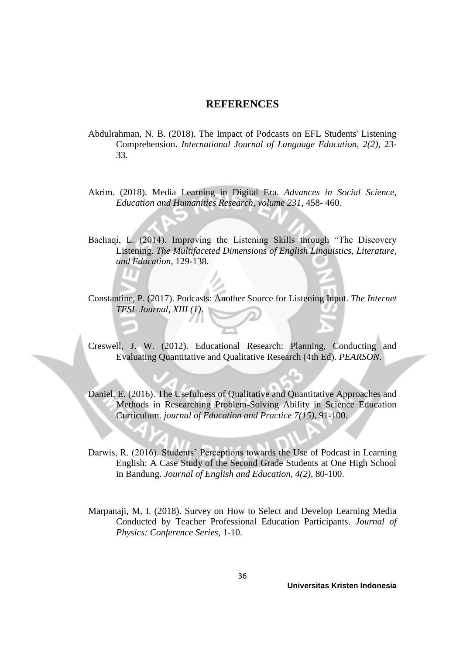## **REFERENCES**

- Abdulrahman, N. B. (2018). The Impact of Podcasts on EFL Students' Listening Comprehension. *International Journal of Language Education, 2(2)*, 23- 33.
- Akrim. (2018). Media Learning in Digital Era. *Advances in Social Science, Education and Humanities Research, volume 231*, 458- 460.
- Baehaqi, L. (2014). Improving the Listening Skills through "The Discovery Listening. *The Multifaceted Dimensions of English Linguistics, Literature, and Education*, 129-138.
- Constantine, P. (2017). Podcasts: Another Source for Listening Input. *The Internet TESL Journal, XIII (1)*.
- Creswell, J. W. (2012). Educational Research: Planning, Conducting and Evaluating Quantitative and Qualitative Research (4th Ed). *PEARSON*.
- Daniel, E. (2016). The Usefulness of Qualitative and Quantitative Approaches and Methods in Researching Problem-Solving Ability in Science Education Curriculum. *journal of Education and Practice 7(15)*, 91-100.
- Darwis, R. (2016). Students' Perceptions towards the Use of Podcast in Learning English: A Case Study of the Second Grade Students at One High School in Bandung. *Journal of English and Education, 4(2)*, 80-100.
- Marpanaji, M. I. (2018). Survey on How to Select and Develop Learning Media Conducted by Teacher Professional Education Participants. *Journal of Physics: Conference Series*, 1-10.

**Universitas Kristen Indonesia**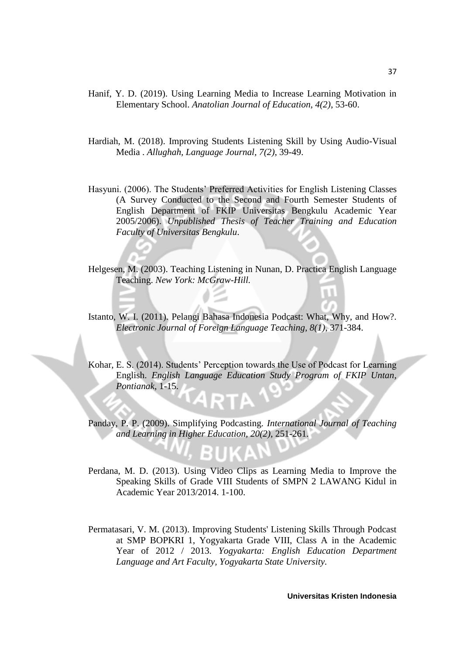- Hanif, Y. D. (2019). Using Learning Media to Increase Learning Motivation in Elementary School. *Anatolian Journal of Education, 4(2)*, 53-60.
- Hardiah, M. (2018). Improving Students Listening Skill by Using Audio-Visual Media . *Allughah, Language Journal, 7(2)*, 39-49.
- Hasyuni. (2006). The Students' Preferred Activities for English Listening Classes (A Survey Conducted to the Second and Fourth Semester Students of English Department of FKIP Universitas Bengkulu Academic Year 2005/2006). *Unpublished Thesis of Teacher Training and Education Faculty of Universitas Bengkulu*.
- Helgesen, M. (2003). Teaching Listening in Nunan, D. Practica English Language Teaching. *New York: McGraw-Hill.*
- Istanto, W. I. (2011). Pelangi Bahasa Indonesia Podcast: What, Why, and How?. *Electronic Journal of Foreign Language Teaching, 8(1)*, 371-384.

Kohar, E. S. (2014). Students' Perception towards the Use of Podcast for Learning English. *English Language Education Study Program of FKIP Untan, Pontianak*, 1-15.

Panday, P. P. (2009). Simplifying Podcasting. *International Journal of Teaching and Learning in Higher Education, 20(2)*, 251-261.

- Perdana, M. D. (2013). Using Video Clips as Learning Media to Improve the Speaking Skills of Grade VIII Students of SMPN 2 LAWANG Kidul in Academic Year 2013/2014. 1-100.
- Permatasari, V. M. (2013). Improving Students' Listening Skills Through Podcast at SMP BOPKRI 1, Yogyakarta Grade VIII, Class A in the Academic Year of 2012 / 2013. *Yogyakarta: English Education Department Language and Art Faculty, Yogyakarta State University.*